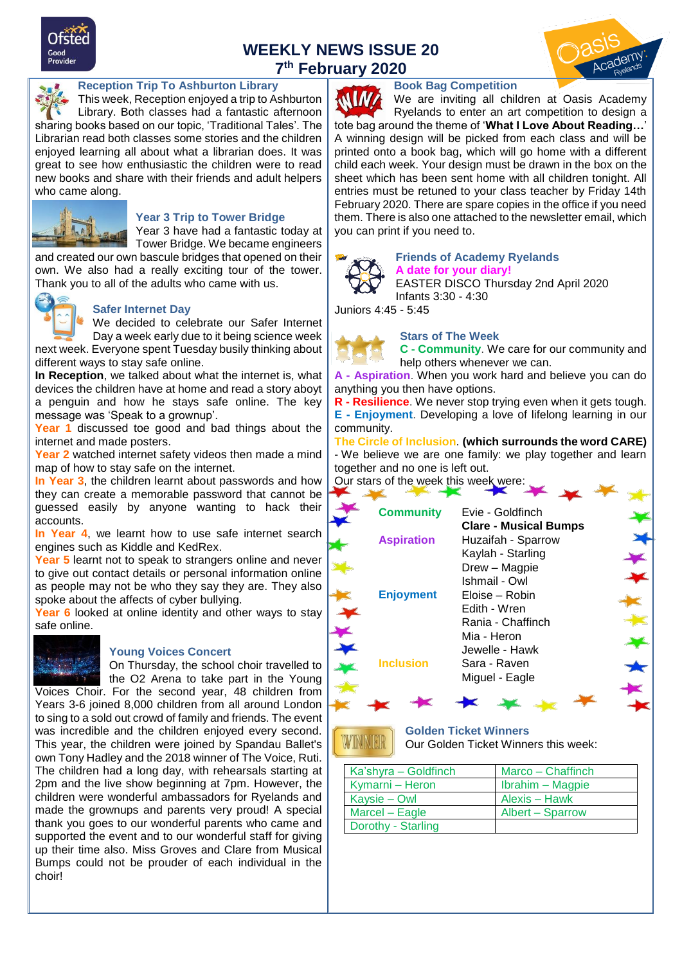

# **WEEKLY NEWS ISSUE 20 7 th February 2020**



#### **Reception Trip To Ashburton Library**

This week, Reception enjoyed a trip to Ashburton Library. Both classes had a fantastic afternoon sharing books based on our topic, 'Traditional Tales'. The Librarian read both classes some stories and the children enjoyed learning all about what a librarian does. It was great to see how enthusiastic the children were to read new books and share with their friends and adult helpers who came along.



#### **Year 3 Trip to Tower Bridge**

Year 3 have had a fantastic today at Tower Bridge. We became engineers

and created our own bascule bridges that opened on their own. We also had a really exciting tour of the tower. Thank you to all of the adults who came with us.



#### **Safer Internet Day**

We decided to celebrate our Safer Internet Day a week early due to it being science week

next week. Everyone spent Tuesday busily thinking about different ways to stay safe online.

**In Reception**, we talked about what the internet is, what devices the children have at home and read a story aboyt a penguin and how he stays safe online. The key message was 'Speak to a grownup'.

**Year 1** discussed toe good and bad things about the internet and made posters.

**Year 2** watched internet safety videos then made a mind map of how to stay safe on the internet.

**In Year 3**, the children learnt about passwords and how they can create a memorable password that cannot be guessed easily by anyone wanting to hack their accounts.

**In Year 4**, we learnt how to use safe internet search engines such as Kiddle and KedRex.

**Year 5** learnt not to speak to strangers online and never to give out contact details or personal information online as people may not be who they say they are. They also spoke about the affects of cyber bullying.

Year 6 looked at online identity and other ways to stay safe online.



**Young Voices Concert** On Thursday, the school choir travelled to the O2 Arena to take part in the Young Voices Choir. For the second year, 48 children from Years 3-6 joined 8,000 children from all around London to sing to a sold out crowd of family and friends. The event was incredible and the children enjoyed every second. This year, the children were joined by Spandau Ballet's own Tony Hadley and the 2018 winner of The Voice, Ruti. The children had a long day, with rehearsals starting at 2pm and the live show beginning at 7pm. However, the children were wonderful ambassadors for Ryelands and made the grownups and parents very proud! A special thank you goes to our wonderful parents who came and supported the event and to our wonderful staff for giving up their time also. Miss Groves and Clare from Musical Bumps could not be prouder of each individual in the choir!

#### **Book Bag Competition**

 $M$ We are inviting all children at Oasis Academy Ryelands to enter an art competition to design a tote bag around the theme of '**What I Love About Reading…**' A winning design will be picked from each class and will be printed onto a book bag, which will go home with a different child each week. Your design must be drawn in the box on the sheet which has been sent home with all children tonight. All entries must be retuned to your class teacher by Friday 14th February 2020. There are spare copies in the office if you need them. There is also one attached to the newsletter email, which you can print if you need to.



#### **Friends of Academy Ryelands A date for your diary!**

EASTER DISCO Thursday 2nd April 2020 Infants 3:30 - 4:30

Juniors 4:45 - 5:45



**Stars of The Week**

**C - Community**. We care for our community and help others whenever we can.

**Aspiration**. When you work hard and believe you can do anything you then have options.

**R - Resilience**. We never stop trying even when it gets tough. **E - Enjoyment**. Developing a love of lifelong learning in our community.

**The Circle of Inclusion**. **(which surrounds the word CARE)** - We believe we are one family: we play together and learn together and no one is left out. Our stars of the week this week were:

| <b>Community</b>  | Evie - Goldfinch<br><b>Clare - Musical Bumps</b> |  |
|-------------------|--------------------------------------------------|--|
| <b>Aspiration</b> | Huzaifah - Sparrow                               |  |
|                   | Kaylah - Starling<br>Drew - Magpie               |  |
|                   | Ishmail - Owl                                    |  |
| <b>Enjoyment</b>  | Eloise - Robin                                   |  |
|                   | Edith - Wren<br>Rania - Chaffinch                |  |
|                   | Mia - Heron<br>Jewelle - Hawk                    |  |
| <b>Inclusion</b>  | Sara - Raven                                     |  |
|                   | Miguel - Eagle                                   |  |
|                   |                                                  |  |

**Golden Ticket Winners** Our Golden Ticket Winners this week:

| Ka'shyra - Goldfinch | Marco - Chaffinch |
|----------------------|-------------------|
| Kymarni - Heron      | Ibrahim - Magpie  |
| Kaysie – Owl         | Alexis – Hawk     |
| Marcel - Eagle       | Albert – Sparrow  |
| Dorothy - Starling   |                   |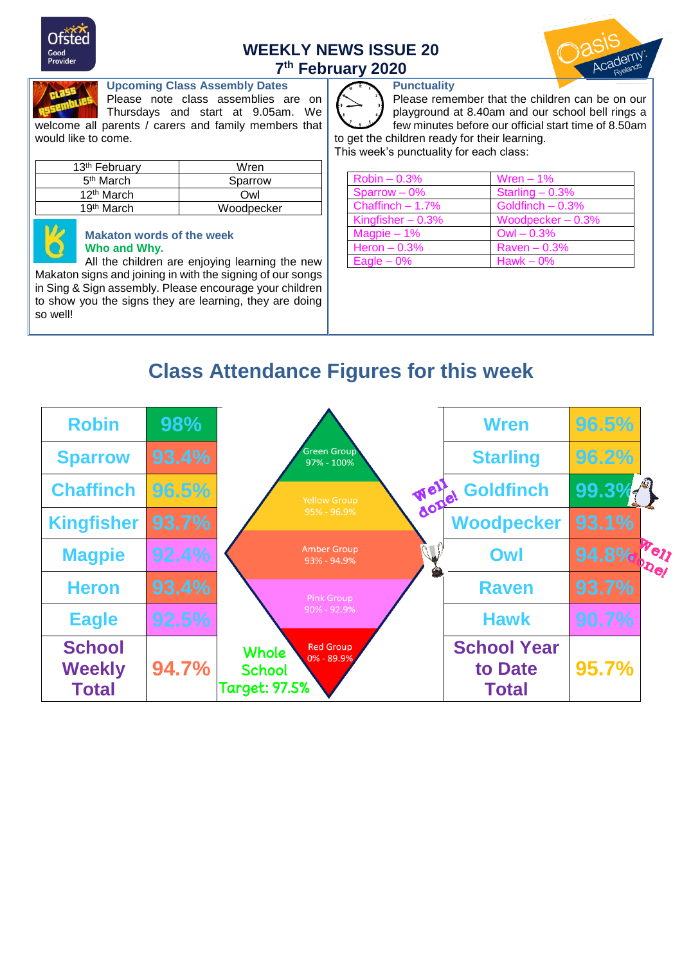

# **WEEKLY NEWS ISSUE 20 7 th February 2020**





#### **Upcoming Class Assembly Dates**

Please note class assemblies are on Thursdays and start at 9.05am. We welcome all parents / carers and family members that would like to come.

| 13 <sup>th</sup> February | Wren       |
|---------------------------|------------|
| 5 <sup>th</sup> March     | Sparrow    |
| 12 <sup>th</sup> March    | Owl        |
| 19 <sup>th</sup> March    | Woodpecker |



#### **Makaton words of the week Who and Why.**

All the children are enjoying learning the new Makaton signs and joining in with the signing of our songs in Sing & Sign assembly. Please encourage your children to show you the signs they are learning, they are doing so well!

### **Punctuality**

Please remember that the children can be on our playground at 8.40am and our school bell rings a few minutes before our official start time of 8.50am to get the children ready for their learning.

This week's punctuality for each class:

| $Robin - 0.3%$     | Wren $-1%$         |
|--------------------|--------------------|
| Sparrow $-0\%$     | Starling $-0.3%$   |
| Chaffinch $-1.7\%$ | Goldfinch $-0.3%$  |
| Kingfisher $-0.3%$ | Woodpecker $-0.3%$ |
| Magpie $-1\%$      | $Owl - 0.3%$       |
| Heron $-0.3%$      | $Raven - 0.3%$     |
| Eagle $-0\%$       | Hawk $-0\%$        |

# **Class Attendance Figures for this week**

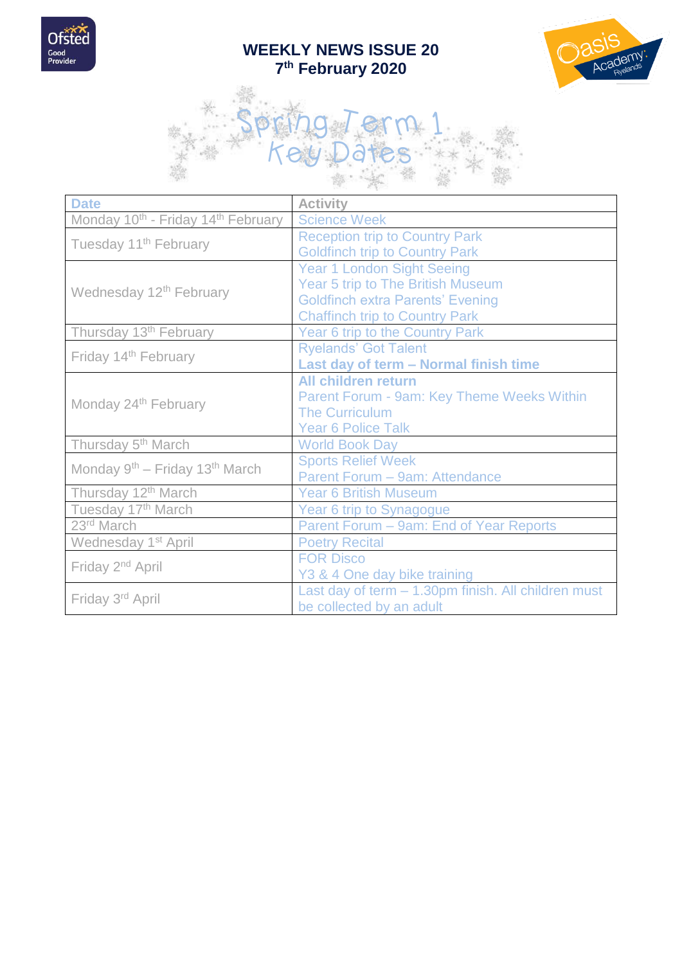

# **WEEKLY NEWS ISSUE 20 7 th February 2020**





| <b>Date</b>                                                | <b>Activity</b>                                     |
|------------------------------------------------------------|-----------------------------------------------------|
| Monday 10 <sup>th</sup> - Friday 14 <sup>th</sup> February | <b>Science Week</b>                                 |
| Tuesday 11 <sup>th</sup> February                          | <b>Reception trip to Country Park</b>               |
|                                                            | <b>Goldfinch trip to Country Park</b>               |
|                                                            | <b>Year 1 London Sight Seeing</b>                   |
| Wednesday 12 <sup>th</sup> February                        | Year 5 trip to The British Museum                   |
|                                                            | <b>Goldfinch extra Parents' Evening</b>             |
|                                                            | <b>Chaffinch trip to Country Park</b>               |
| Thursday 13 <sup>th</sup> February                         | Year 6 trip to the Country Park                     |
| Friday 14th February                                       | <b>Ryelands' Got Talent</b>                         |
|                                                            | Last day of term - Normal finish time               |
|                                                            | <b>All children return</b>                          |
| Monday 24 <sup>th</sup> February                           | Parent Forum - 9am: Key Theme Weeks Within          |
|                                                            | <b>The Curriculum</b>                               |
|                                                            | <b>Year 6 Police Talk</b>                           |
| Thursday 5 <sup>th</sup> March                             | <b>World Book Day</b>                               |
| Monday 9 <sup>th</sup> – Friday 13 <sup>th</sup> March     | <b>Sports Relief Week</b>                           |
|                                                            | Parent Forum - 9am: Attendance                      |
| Thursday 12 <sup>th</sup> March                            | <b>Year 6 British Museum</b>                        |
| Tuesday 17th March                                         | Year 6 trip to Synagogue                            |
| 23rd March                                                 | Parent Forum - 9am: End of Year Reports             |
| Wednesday 1 <sup>st</sup> April                            | <b>Poetry Recital</b>                               |
|                                                            | <b>FOR Disco</b>                                    |
| Friday 2 <sup>nd</sup> April                               | Y3 & 4 One day bike training                        |
|                                                            | Last day of term - 1.30pm finish. All children must |
| Friday 3rd April                                           | be collected by an adult                            |